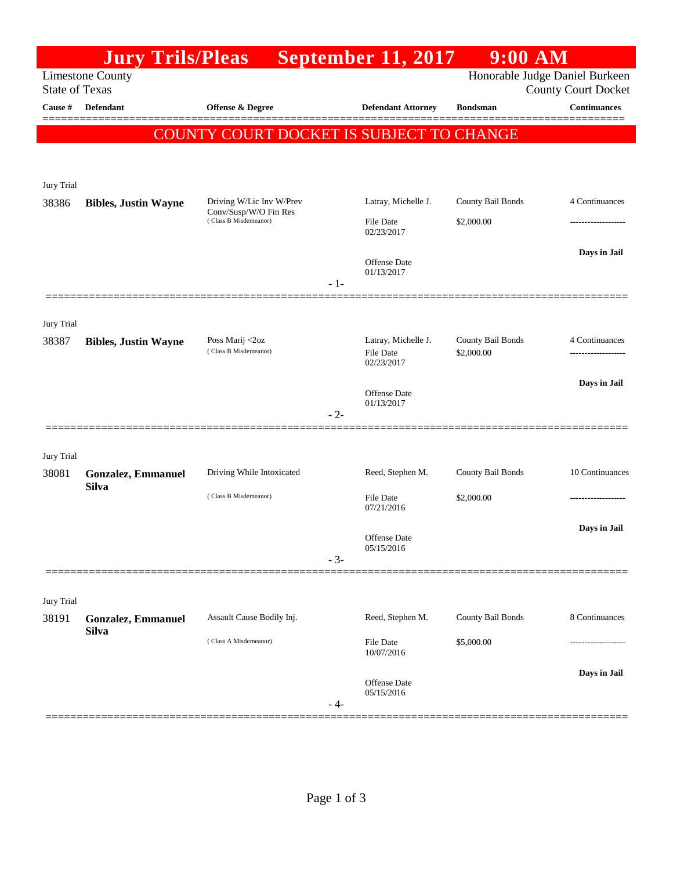|                       | <b>Jury Trils/Pleas</b>     |                                                                            | <b>September 11, 2017</b>         | $9:00$ AM                       |                                                              |
|-----------------------|-----------------------------|----------------------------------------------------------------------------|-----------------------------------|---------------------------------|--------------------------------------------------------------|
| <b>State of Texas</b> | <b>Limestone County</b>     |                                                                            |                                   |                                 | Honorable Judge Daniel Burkeen<br><b>County Court Docket</b> |
| Cause #               | <b>Defendant</b>            | <b>Offense &amp; Degree</b>                                                | <b>Defendant Attorney</b>         | <b>Bondsman</b>                 | <b>Continuances</b>                                          |
|                       |                             | COUNTY COURT DOCKET IS SUBJECT TO CHANGE                                   |                                   |                                 |                                                              |
|                       |                             |                                                                            |                                   |                                 |                                                              |
|                       |                             |                                                                            |                                   |                                 |                                                              |
| Jury Trial<br>38386   | <b>Bibles, Justin Wayne</b> | Driving W/Lic Inv W/Prev<br>Conv/Susp/W/O Fin Res<br>(Class B Misdemeanor) | Latray, Michelle J.               | County Bail Bonds               | 4 Continuances                                               |
|                       |                             |                                                                            | File Date<br>02/23/2017           | \$2,000.00                      |                                                              |
|                       |                             |                                                                            |                                   |                                 | Days in Jail                                                 |
|                       |                             |                                                                            | <b>Offense Date</b><br>01/13/2017 |                                 |                                                              |
|                       |                             |                                                                            | $-1-$                             |                                 |                                                              |
| Jury Trial            |                             |                                                                            |                                   |                                 |                                                              |
| 38387                 | <b>Bibles, Justin Wayne</b> | Poss Marij <2oz<br>(Class B Misdemeanor)                                   | Latray, Michelle J.<br>File Date  | County Bail Bonds<br>\$2,000.00 | 4 Continuances<br>------------------                         |
|                       |                             |                                                                            | 02/23/2017                        |                                 |                                                              |
|                       |                             |                                                                            | Offense Date                      |                                 | Days in Jail                                                 |
|                       |                             |                                                                            | 01/13/2017<br>$-2-$               |                                 |                                                              |
|                       |                             |                                                                            |                                   |                                 |                                                              |
| Jury Trial<br>38081   | <b>Gonzalez, Emmanuel</b>   | Driving While Intoxicated                                                  | Reed, Stephen M.                  | County Bail Bonds               | 10 Continuances                                              |
|                       | <b>Silva</b>                | (Class B Misdemeanor)                                                      | File Date                         | \$2,000.00                      | -----------------                                            |
|                       |                             |                                                                            | 07/21/2016                        |                                 |                                                              |
|                       |                             |                                                                            | Offense Date<br>05/15/2016        |                                 | Days in Jail                                                 |
|                       |                             |                                                                            | $-3-$                             |                                 |                                                              |
|                       |                             |                                                                            |                                   |                                 |                                                              |
| Jury Trial<br>38191   | <b>Gonzalez, Emmanuel</b>   | Assault Cause Bodily Inj.                                                  | Reed, Stephen M.                  | County Bail Bonds               | 8 Continuances                                               |
|                       | <b>Silva</b>                | (Class A Misdemeanor)                                                      | File Date                         | \$5,000.00                      |                                                              |
|                       |                             |                                                                            | 10/07/2016                        |                                 |                                                              |
|                       |                             |                                                                            | Offense Date<br>05/15/2016        |                                 | Days in Jail                                                 |
|                       |                             |                                                                            | - 4-                              |                                 |                                                              |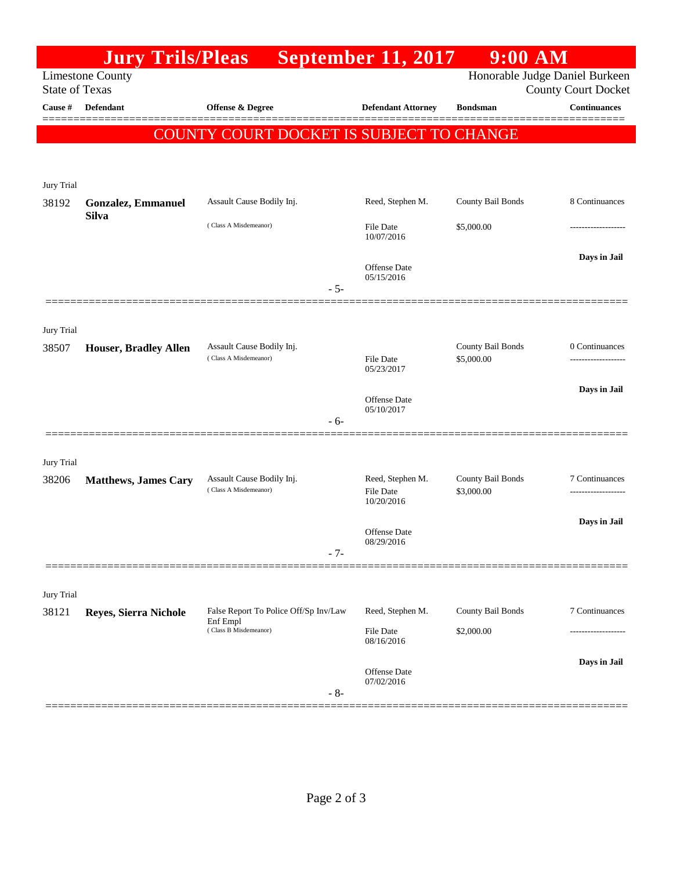|                       | <b>Jury Trils/Pleas</b>                   |                                                                            | <b>September 11, 2017</b>                          | $9:00$ AM                                                    |                     |
|-----------------------|-------------------------------------------|----------------------------------------------------------------------------|----------------------------------------------------|--------------------------------------------------------------|---------------------|
| <b>State of Texas</b> | <b>Limestone County</b>                   |                                                                            |                                                    | Honorable Judge Daniel Burkeen<br><b>County Court Docket</b> |                     |
| Cause #               | Defendant                                 | Offense & Degree                                                           | <b>Defendant Attorney</b>                          | <b>Bondsman</b>                                              | <b>Continuances</b> |
|                       |                                           | COUNTY COURT DOCKET IS SUBJECT TO CHANGE                                   |                                                    |                                                              |                     |
|                       |                                           |                                                                            |                                                    |                                                              |                     |
| Jury Trial<br>38192   | <b>Gonzalez, Emmanuel</b><br><b>Silva</b> | Assault Cause Bodily Inj.                                                  | Reed, Stephen M.                                   | County Bail Bonds                                            | 8 Continuances      |
|                       |                                           | (Class A Misdemeanor)                                                      | <b>File Date</b><br>10/07/2016                     | \$5,000.00                                                   |                     |
|                       |                                           | $-5-$                                                                      | Offense Date<br>05/15/2016                         |                                                              | Days in Jail        |
|                       |                                           |                                                                            |                                                    |                                                              |                     |
| Jury Trial<br>38507   | Houser, Bradley Allen                     | Assault Cause Bodily Inj.<br>(Class A Misdemeanor)                         | <b>File Date</b>                                   | County Bail Bonds<br>\$5,000.00                              | 0 Continuances      |
|                       |                                           |                                                                            | 05/23/2017<br><b>Offense</b> Date                  |                                                              | Days in Jail        |
|                       |                                           | - 6-                                                                       | 05/10/2017                                         |                                                              |                     |
| Jury Trial            |                                           |                                                                            |                                                    |                                                              |                     |
| 38206                 | <b>Matthews, James Cary</b>               | Assault Cause Bodily Inj.<br>(Class A Misdemeanor)                         | Reed, Stephen M.<br><b>File Date</b><br>10/20/2016 | County Bail Bonds<br>\$3,000.00                              | 7 Continuances      |
|                       |                                           | $-7-$                                                                      | Offense Date<br>08/29/2016                         |                                                              | Days in Jail        |
|                       |                                           |                                                                            |                                                    |                                                              |                     |
| Jury Trial            |                                           |                                                                            |                                                    |                                                              |                     |
| 38121                 | Reyes, Sierra Nichole                     | False Report To Police Off/Sp Inv/Law<br>Enf Empl<br>(Class B Misdemeanor) | Reed, Stephen M.                                   | County Bail Bonds                                            | 7 Continuances      |
|                       |                                           |                                                                            | File Date<br>08/16/2016                            | \$2,000.00                                                   |                     |
|                       |                                           | $-8-$                                                                      | Offense Date<br>07/02/2016                         |                                                              | Days in Jail        |